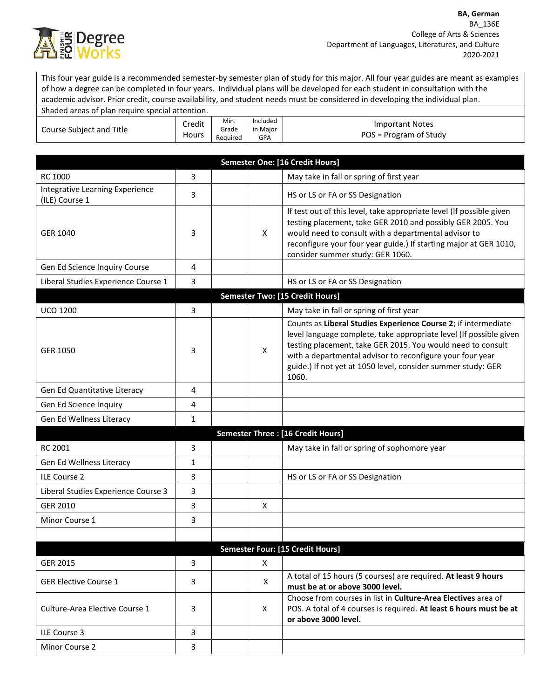

This four year guide is a recommended semester-by semester plan of study for this major. All four year guides are meant as examples of how a degree can be completed in four years. Individual plans will be developed for each student in consultation with the academic advisor. Prior credit, course availability, and student needs must be considered in developing the individual plan. Shaded areas of plan require special attention. Min. Included

| <b>Course Subject and Title</b> | $\cdots$<br>$\sim$<br>Credit<br>Hours | IVIIII.<br>Grade<br>Reauired | mciuded<br>in Major | <b>Important Notes</b><br>$POS =$<br>- Program of Study |
|---------------------------------|---------------------------------------|------------------------------|---------------------|---------------------------------------------------------|
|                                 |                                       |                              | GPA                 |                                                         |

|                                                   |   |              | Semester One: [16 Credit Hours]                                                                                                                                                                                                                                                                                                           |
|---------------------------------------------------|---|--------------|-------------------------------------------------------------------------------------------------------------------------------------------------------------------------------------------------------------------------------------------------------------------------------------------------------------------------------------------|
| RC 1000                                           | 3 |              | May take in fall or spring of first year                                                                                                                                                                                                                                                                                                  |
| Integrative Learning Experience<br>(ILE) Course 1 | 3 |              | HS or LS or FA or SS Designation                                                                                                                                                                                                                                                                                                          |
| <b>GER 1040</b>                                   | 3 | $\mathsf{X}$ | If test out of this level, take appropriate level (If possible given<br>testing placement, take GER 2010 and possibly GER 2005. You<br>would need to consult with a departmental advisor to<br>reconfigure your four year guide.) If starting major at GER 1010,<br>consider summer study: GER 1060.                                      |
| Gen Ed Science Inquiry Course                     | 4 |              |                                                                                                                                                                                                                                                                                                                                           |
| Liberal Studies Experience Course 1               | 3 |              | HS or LS or FA or SS Designation                                                                                                                                                                                                                                                                                                          |
|                                                   |   |              | <b>Semester Two: [15 Credit Hours]</b>                                                                                                                                                                                                                                                                                                    |
| <b>UCO 1200</b>                                   | 3 |              | May take in fall or spring of first year                                                                                                                                                                                                                                                                                                  |
| <b>GER 1050</b>                                   | 3 | X            | Counts as Liberal Studies Experience Course 2; if intermediate<br>level language complete, take appropriate level (If possible given<br>testing placement, take GER 2015. You would need to consult<br>with a departmental advisor to reconfigure your four year<br>guide.) If not yet at 1050 level, consider summer study: GER<br>1060. |
| Gen Ed Quantitative Literacy                      | 4 |              |                                                                                                                                                                                                                                                                                                                                           |
| Gen Ed Science Inquiry                            | 4 |              |                                                                                                                                                                                                                                                                                                                                           |
| Gen Ed Wellness Literacy                          | 1 |              |                                                                                                                                                                                                                                                                                                                                           |
|                                                   |   |              | <b>Semester Three: [16 Credit Hours]</b>                                                                                                                                                                                                                                                                                                  |
| RC 2001                                           | 3 |              | May take in fall or spring of sophomore year                                                                                                                                                                                                                                                                                              |
| Gen Ed Wellness Literacy                          | 1 |              |                                                                                                                                                                                                                                                                                                                                           |
| ILE Course 2                                      | 3 |              | HS or LS or FA or SS Designation                                                                                                                                                                                                                                                                                                          |
| Liberal Studies Experience Course 3               | 3 |              |                                                                                                                                                                                                                                                                                                                                           |
| <b>GER 2010</b>                                   | 3 | X            |                                                                                                                                                                                                                                                                                                                                           |
| Minor Course 1                                    | 3 |              |                                                                                                                                                                                                                                                                                                                                           |
|                                                   |   |              |                                                                                                                                                                                                                                                                                                                                           |
|                                                   |   |              | Semester Four: [15 Credit Hours]                                                                                                                                                                                                                                                                                                          |
| GER 2015                                          | 3 | $\mathsf{X}$ |                                                                                                                                                                                                                                                                                                                                           |
| <b>GER Elective Course 1</b>                      | 3 | X            | A total of 15 hours (5 courses) are required. At least 9 hours<br>must be at or above 3000 level.                                                                                                                                                                                                                                         |
| Culture-Area Elective Course 1                    | 3 | X            | Choose from courses in list in Culture-Area Electives area of<br>POS. A total of 4 courses is required. At least 6 hours must be at<br>or above 3000 level.                                                                                                                                                                               |
| ILE Course 3                                      | 3 |              |                                                                                                                                                                                                                                                                                                                                           |
| Minor Course 2                                    | 3 |              |                                                                                                                                                                                                                                                                                                                                           |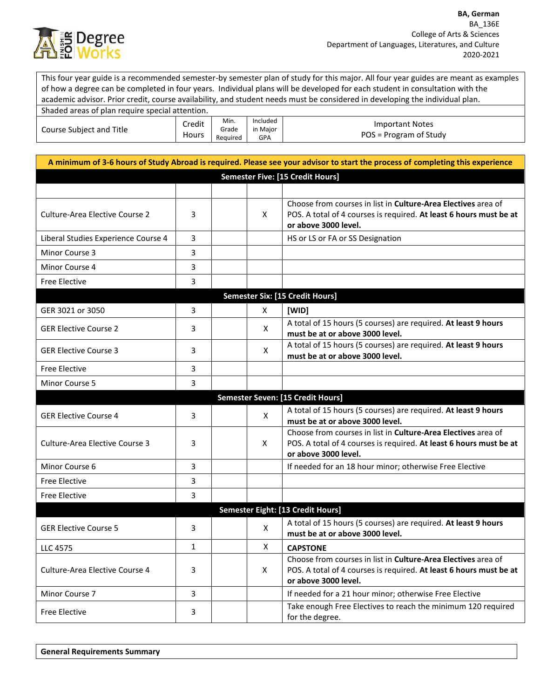

This four year guide is a recommended semester-by semester plan of study for this major. All four year guides are meant as examples of how a degree can be completed in four years. Individual plans will be developed for each student in consultation with the academic advisor. Prior credit, course availability, and student needs must be considered in developing the individual plan. Shaded areas of plan require special attention. Course Subject and Title **Credit** Hours Min. Grade Required Included in Major GPA Important Notes POS = Program of Study

|                                     |   |              | A minimum of 3-6 hours of Study Abroad is required. Please see your advisor to start the process of completing this experience                              |
|-------------------------------------|---|--------------|-------------------------------------------------------------------------------------------------------------------------------------------------------------|
|                                     |   |              | <b>Semester Five: [15 Credit Hours]</b>                                                                                                                     |
|                                     |   |              |                                                                                                                                                             |
| Culture-Area Elective Course 2      | 3 | X            | Choose from courses in list in Culture-Area Electives area of<br>POS. A total of 4 courses is required. At least 6 hours must be at<br>or above 3000 level. |
| Liberal Studies Experience Course 4 | 3 |              | HS or LS or FA or SS Designation                                                                                                                            |
| Minor Course 3                      | 3 |              |                                                                                                                                                             |
| Minor Course 4                      | 3 |              |                                                                                                                                                             |
| <b>Free Elective</b>                | 3 |              |                                                                                                                                                             |
|                                     |   |              | <b>Semester Six: [15 Credit Hours]</b>                                                                                                                      |
| GER 3021 or 3050                    | 3 | $\mathsf{X}$ | [WID]                                                                                                                                                       |
| <b>GER Elective Course 2</b>        | 3 | X            | A total of 15 hours (5 courses) are required. At least 9 hours<br>must be at or above 3000 level.                                                           |
| <b>GER Elective Course 3</b>        | 3 | X            | A total of 15 hours (5 courses) are required. At least 9 hours<br>must be at or above 3000 level.                                                           |
| <b>Free Elective</b>                | 3 |              |                                                                                                                                                             |
| Minor Course 5                      | 3 |              |                                                                                                                                                             |
|                                     |   |              | Semester Seven: [15 Credit Hours]                                                                                                                           |
| <b>GER Elective Course 4</b>        | 3 | X            | A total of 15 hours (5 courses) are required. At least 9 hours<br>must be at or above 3000 level.                                                           |
| Culture-Area Elective Course 3      | 3 | X            | Choose from courses in list in Culture-Area Electives area of<br>POS. A total of 4 courses is required. At least 6 hours must be at<br>or above 3000 level. |
| Minor Course 6                      | 3 |              | If needed for an 18 hour minor; otherwise Free Elective                                                                                                     |
| <b>Free Elective</b>                | 3 |              |                                                                                                                                                             |
| <b>Free Elective</b>                | 3 |              |                                                                                                                                                             |
|                                     |   |              | Semester Eight: [13 Credit Hours]                                                                                                                           |
| <b>GER Elective Course 5</b>        | 3 | X            | A total of 15 hours (5 courses) are required. At least 9 hours<br>must be at or above 3000 level.                                                           |
| <b>LLC 4575</b>                     | 1 | X            | <b>CAPSTONE</b>                                                                                                                                             |
| Culture-Area Elective Course 4      | 3 | X            | Choose from courses in list in Culture-Area Electives area of<br>POS. A total of 4 courses is required. At least 6 hours must be at<br>or above 3000 level. |
| Minor Course 7                      | 3 |              | If needed for a 21 hour minor; otherwise Free Elective                                                                                                      |
| <b>Free Elective</b>                | 3 |              | Take enough Free Electives to reach the minimum 120 required<br>for the degree.                                                                             |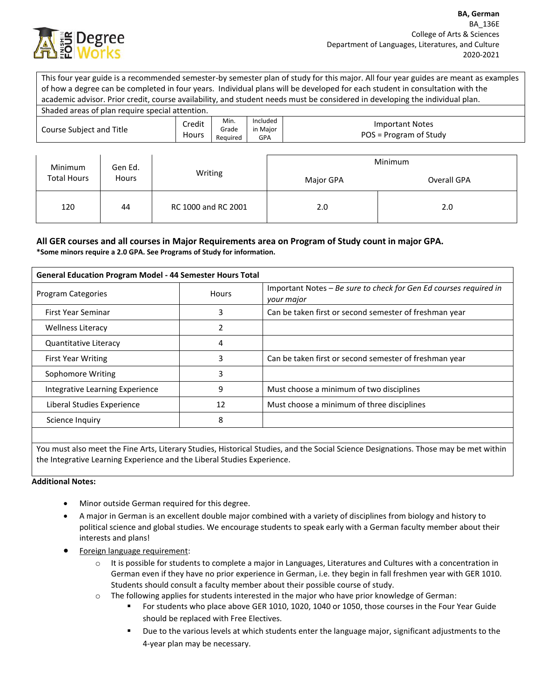

| This four year guide is a recommended semester-by semester plan of study for this major. All four year guides are meant as examples |         |                                    |                                                  |  |           |                                                                                                                              |  |
|-------------------------------------------------------------------------------------------------------------------------------------|---------|------------------------------------|--------------------------------------------------|--|-----------|------------------------------------------------------------------------------------------------------------------------------|--|
| of how a degree can be completed in four years. Individual plans will be developed for each student in consultation with the        |         |                                    |                                                  |  |           |                                                                                                                              |  |
|                                                                                                                                     |         |                                    |                                                  |  |           | academic advisor. Prior credit, course availability, and student needs must be considered in developing the individual plan. |  |
| Shaded areas of plan require special attention.                                                                                     |         |                                    |                                                  |  |           |                                                                                                                              |  |
| Min.<br>Credit<br>Course Subject and Title<br>Grade<br><b>Hours</b><br>Required                                                     |         | Included<br>in Major<br><b>GPA</b> | <b>Important Notes</b><br>POS = Program of Study |  |           |                                                                                                                              |  |
| Minimum                                                                                                                             | Gen Ed. | Writing                            |                                                  |  |           | Minimum                                                                                                                      |  |
| <b>Total Hours</b><br>Hours                                                                                                         |         |                                    |                                                  |  | Major GPA | Overall GPA                                                                                                                  |  |
| 120                                                                                                                                 | 44      | RC 1000 and RC 2001                |                                                  |  | 2.0       | 2.0                                                                                                                          |  |

## **All GER courses and all courses in Major Requirements area on Program of Study count in major GPA.**

**\*Some minors require a 2.0 GPA. See Programs of Study for information.**

| <b>General Education Program Model - 44 Semester Hours Total</b> |               |                                                                                 |  |  |  |  |
|------------------------------------------------------------------|---------------|---------------------------------------------------------------------------------|--|--|--|--|
| <b>Hours</b><br><b>Program Categories</b>                        |               | Important Notes – Be sure to check for Gen Ed courses required in<br>your major |  |  |  |  |
| First Year Seminar                                               | 3             | Can be taken first or second semester of freshman year                          |  |  |  |  |
| <b>Wellness Literacy</b>                                         | $\mathcal{P}$ |                                                                                 |  |  |  |  |
| <b>Quantitative Literacy</b>                                     | 4             |                                                                                 |  |  |  |  |
| <b>First Year Writing</b>                                        | 3             | Can be taken first or second semester of freshman year                          |  |  |  |  |
| Sophomore Writing                                                | 3             |                                                                                 |  |  |  |  |
| Integrative Learning Experience                                  | 9             | Must choose a minimum of two disciplines                                        |  |  |  |  |
| Liberal Studies Experience                                       | 12            | Must choose a minimum of three disciplines                                      |  |  |  |  |
| Science Inquiry                                                  | 8             |                                                                                 |  |  |  |  |
|                                                                  |               |                                                                                 |  |  |  |  |

You must also meet the Fine Arts, Literary Studies, Historical Studies, and the Social Science Designations. Those may be met within the Integrative Learning Experience and the Liberal Studies Experience.

## **Additional Notes:**

- Minor outside German required for this degree.
- A major in German is an excellent double major combined with a variety of disciplines from biology and history to political science and global studies. We encourage students to speak early with a German faculty member about their interests and plans!
- Foreign language requirement:
	- o It is possible for students to complete a major in Languages, Literatures and Cultures with a concentration in German even if they have no prior experience in German, i.e. they begin in fall freshmen year with GER 1010. Students should consult a faculty member about their possible course of study.
	- o The following applies for students interested in the major who have prior knowledge of German:
		- For students who place above GER 1010, 1020, 1040 or 1050, those courses in the Four Year Guide should be replaced with Free Electives.
		- Due to the various levels at which students enter the language major, significant adjustments to the 4-year plan may be necessary.